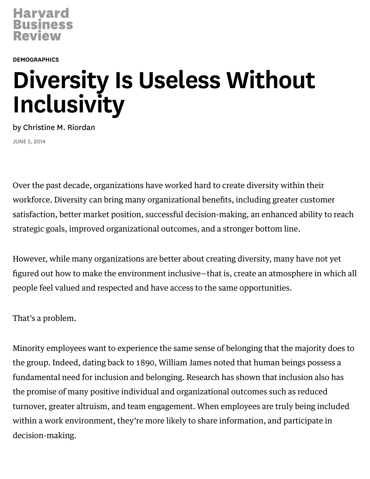

**[DEMOGRAPHICS](https://hbr.org/topic/demographics)** 

# Diversity Is Useless Without **Inclusivity**

by [Christine](https://hbr.org/search?term=christine+m.+riordan) M. Riordan JUNE 5, 2014

Over the past decade, organizations have worked hard to create diversity within their workforce. Diversity can bring many organizational benefits, including greater customer satisfaction, better market position, successful decision-making, an enhanced ability to reach strategic goals, improved [organizational](https://hbr.org/2014/03/the-case-for-team-diversity-gets-even-better/) outcomes, and a stronger bottom line.

However, while many organizations are better about creating diversity, many have not yet figured out how to make the environment inclusive—that is, create an atmosphere in which all people feel valued and respected and have access to the same opportunities.

That's a problem.

Minority employees want to experience the same sense of belonging that the majority does to the group. Indeed, dating back to 1890, William James noted that human beings possess a fundamental need for inclusion and belonging. [Research](http://onlinelibrary.wiley.com/doi/10.1002/job.413/abstract) has shown that inclusion also has the promise of many positive individual and organizational outcomes such as reduced turnover, greater altruism, and team engagement. When employees are truly being included within a work environment, they're more likely to share information, and participate in [decision-making.](https://cbaweb.sdsu.edu/assets/files/iido/SIOP_2014_PPT-Inclusion_and_Health.pdf)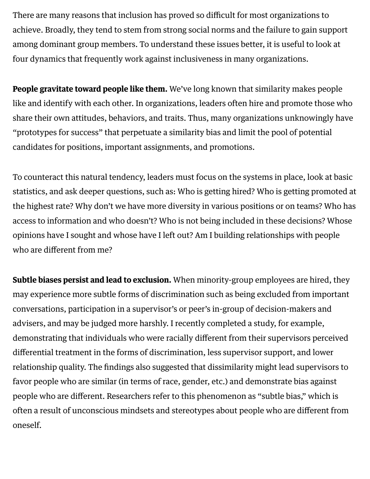There are many reasons that inclusion has proved so difficult for most organizations to achieve. Broadly, they tend to stem from strong social norms and the failure to gain support among dominant group members. To [understand](https://openlibrary.org/books/OL17247505M/Diversity_resistance_in_organizations) these issues better, it is useful to look at four dynamics that frequently work against inclusiveness in many organizations.

**People gravitate toward people like them.** We've long known that similarity makes people like and identify with each other. In organizations, leaders often hire and promote those who share their own attitudes, behaviors, and traits. Thus, many organizations unknowingly have ["prototypes](https://hbr.org/2014/01/cracking-the-code-that-stalls-multicultural-professionals/) for success" that perpetuate a similarity bias and limit the pool of potential candidates for positions, important assignments, and promotions.

To counteract this natural tendency, leaders must focus on the systems in place, look at basic statistics, and ask deeper questions, such as: Who is getting hired? Who is getting promoted at the highest rate? Why don't we have more diversity in various positions or on teams? Who has access to information and who doesn't? Who is not being included in these decisions? Whose opinions have I sought and whose have I left out? Am I building relationships with people who are different from me?

Subtle biases persist and lead to exclusion. When minority-group employees are hired, they may experience more subtle forms of discrimination such as being excluded from important conversations, participation in a supervisor's or peer's in-group of decision-makers and advisers, and may be judged more harshly. I recently [completed](http://onlinelibrary.wiley.com/doi/10.1002/cjas.1237/abstract) a study, for example, demonstrating that individuals who were racially different from their supervisors perceived differential treatment in the forms of discrimination, less supervisor support, and lower relationship quality. The findings also suggested that dissimilarity might lead supervisors to favor people who are similar (in terms of race, gender, etc.) and demonstrate bias against people who are different. Researchers refer to this phenomenon as "subtle bias," which is often a result of unconscious mindsets and stereotypes about people who are different from oneself.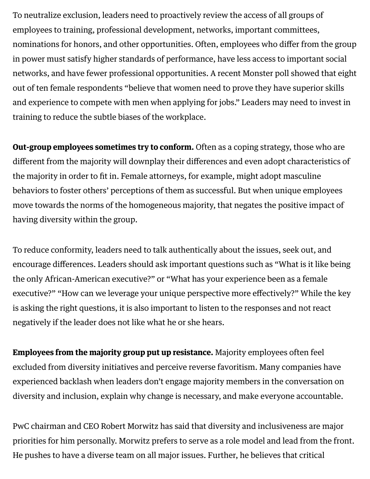To neutralize exclusion, leaders need to proactively review the access of all groups of employees to training, professional development, networks, important committees, nominations for honors, and other opportunities. Often, employees who differ from the group in power must satisfy higher [standards](http://www.pnas.org/content/early/2012/09/14/1211286109) of performance, have less access to important social networks, and have fewer professional opportunities. A recent [Monster](http://www.winnipegfreepress.com/business/women-in-the-workforce-236841321.html) poll showed that eight out of ten female respondents "believe that women need to prove they have superior skills and experience to compete with men when applying for jobs." Leaders may need to invest in training to reduce the subtle biases of the workplace.

Out-group employees sometimes try to conform. Often as a coping strategy, those who are different from the majority will downplay their [differences](https://hbr.org/2014/03/fear-of-being-different-stifles-talent/ar/1) and even adopt characteristics of the majority in order to fit in. Female [attorneys](https://www.jstor.org/discover/10.2307/256740?uid=3739696&uid=2129&uid=2&uid=70&uid=4&uid=3739256&sid=21104245849843), for example, might adopt masculine behaviors to foster others' perceptions of them as successful. But when unique employees move towards the norms of the homogeneous majority, that negates the positive impact of having diversity within the group.

To reduce conformity, leaders need to talk authentically about the issues, seek out, and encourage differences. Leaders should ask important questions such as "What is it like being the only African-American executive?" or "What has your experience been as a female executive?" "How can we leverage your unique perspective more effectively?" While the key is asking the right questions, it is also important to listen to the responses and not react negatively if the leader does not like what he or she hears.

[Employees](http://www.ncbi.nlm.nih.gov/pubmed/21534702) from the majority group put up resistance. Majority employees often feel excluded from diversity initiatives and perceive reverse favoritism. Many companies have experienced [backlash](https://hbr.org/2013/10/the-trouble-with-gender-targets/) when leaders don't engage majority members in the conversation on diversity and inclusion, explain why change is necessary, and make everyone accountable.

PwC chairman and CEO Robert Morwitz has [said](https://knowledge.wharton.upenn.edu/article/leadership-beyond-bottom-line/) that diversity and inclusiveness are major priorities for him personally. Morwitz prefers to serve as a role model and lead from the front. He pushes to have a diverse team on all major issues. Further, he believes that critical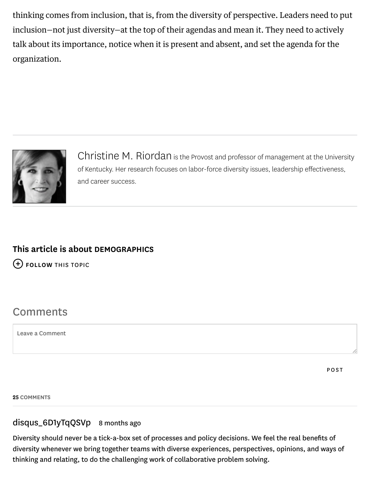thinking comes from inclusion, that is, from the diversity of perspective. Leaders need to put inclusion—not just diversity—at the top of their agendas and mean it. They need to actively talk about its importance, notice when it is present and absent, and set the agenda for the organization.



[Christine](https://hbr.org/search?term=christine+m.+riordan) M. Riordan is the Provost and professor of management at the University of Kentucky. Her research focuses on labor-force diversity issues, leadership effectiveness, and career success.

## This article is about [DEMOGRAPHICS](https://hbr.org/topic/demographics)

FOLLOW THIS TOPIC

# **Comments**

Leave a Comment

**POST** 

25 COMMENTS

### disqus\_6D1yTqQSVp 8 months ago

Diversity should never be a tick-a-box set of processes and policy decisions. We feel the real benefits of diversity whenever we bring together teams with diverse experiences, perspectives, opinions, and ways of thinking and relating, to do the challenging work of collaborative problem solving.